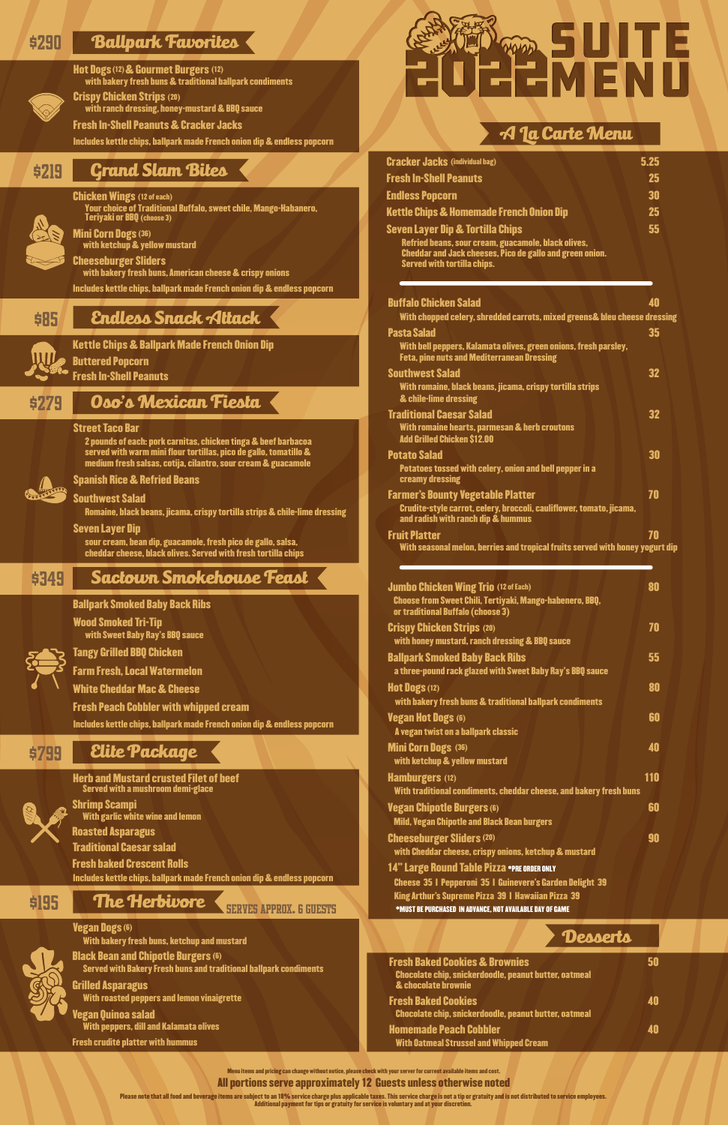Please note that all food and beverage items are subject to an 18% service charge plus applicable taxes. This service charge is not a tip or gratuity and is not distributed to service employees. Additional payment for tips or gratuity for service is voluntary and at your discretion.

Kettle Chips & Ballpark Made French Onion Dip

| IЩ |
|----|
|    |
|    |

Buttered Popcorn Fresh In-Shell Peanuts

## \$219 Grand Slam Bites

(choose 3)



Teriyaki or BBQ



Mini Corn Dogs (36) with ketchup & yellow mustard

#### \$195 The Herbivore SERVES APPROX. 6 GUESTS

Cheeseburger Sliders with bakery fresh buns, American cheese & crispy onions Includes kettle chips, ballpark made French onion dip & endless popcorn

### **\$85 Endless Snack Attack**

#### legan Quinoa salad With peppers, dill and Kalamata olives

### **\$290 Ballpark Favorites**



Hot Dogs (12) & Gourmet Burgers (12) with bakery fresh buns & traditional ballpark condiments

Crispy Chicken Strips (20) with ranch dressing, honey-mustard & BBQ sauce

Fresh In-Shell Peanuts & Cracker Jacks

Includes kettle chips, ballpark made French onion dip & endless popcorn

Fresh crudite platter with hummus

Vegan Dogs (6) With bakery fresh buns, ketchup and mustard



Black Bean and Chipotle Burgers (6) Served with Bakery Fresh buns and traditional ballpark condiments

Grilled Asparagus With roasted peppers and lemon vinaigrette

Fresh baked Crescent Rolls

#### Herb and Mustard crusted Filet of beef Served with a mushroom demi-glace



Traditional Caesar salad Roasted Asparagus

Shrimp Scampi With garlic white wine and lemon



Includes kettle chips, ballpark made French onion dip & endless popcorn



14" Large Round Table Pizza \*PRE ORDER ONLY Cheese 35 | Pepperoni 35 | Guinevere's Garden Delight 39 King Arthur's Supreme Pizza 39 | Hawaiian Pizza 39 \*MUST BE PURCHASED IN ADVANCE, NOT AVAILABLE DAY OF GAME Cheeseburger Sliders 90 (20) with Cheddar cheese, crispy onions, ketchup & mustard

### \$279 Oso's Mexican Fiesta

#### Street Taco Bar

2 pounds of each: pork carnitas, chicken tinga & beef barbacoa served with warm mini flour tortillas, pico de gallo, tomatillo & medium fresh salsas, cotija, cilantro, sour cream & guacamole



Spanish Rice & Refried Beans

Southwest Salad

Romaine, black beans, jicama, crispy tortilla strips & chile-lime dressing

Seven Layer Dip

sour cream, bean dip, guacamole, fresh pico de gallo, salsa, cheddar cheese, black olives. Served with fresh tortilla chips

### **\$349 Sactown Smokehouse Feast**

All portions serve approximately 12 Guests unless otherwise noted Menu items and pricing can change without notice, please check with your server for current available items and cost.

| <b>Fresh Baked Cookies &amp; Brownies</b>                                    |    |
|------------------------------------------------------------------------------|----|
| Chocolate chip, snickerdoodle, peanut butter, oatmeal<br>& chocolate brownie |    |
|                                                                              |    |
| <b>Fresh Baked Cookies</b>                                                   | ÆШ |
| Chocolate chip, snickerdoodle, peanut butter, oatmeal                        |    |
| <b>Homemade Peach Cobbler</b>                                                | ÆШ |
| <b>With Oatmeal Strussel and Whipped Cream</b>                               |    |

### Desserts

| <b>Jumbo Chicken Wing Trio (12 of Each)</b><br>Choose from Sweet Chili, Tertiyaki, Mango-habenero, BBQ,<br>or traditional Buffalo (choose 3) | 80         |
|----------------------------------------------------------------------------------------------------------------------------------------------|------------|
| <b>Crispy Chicken Strips (20)</b><br>with honey mustard, ranch dressing & BBQ sauce                                                          | 70         |
| <b>Ballpark Smoked Baby Back Ribs</b><br>a three-pound rack glazed with Sweet Baby Ray's BBQ sauce                                           | 55         |
| <b>Hot Dogs (12)</b><br>with bakery fresh buns & traditional ballpark condiments                                                             | 80         |
| Vegan Hot Dogs (6)<br>A vegan twist on a ballpark classic                                                                                    | 60         |
| <b>Mini Corn Dogs (36)</b><br>with ketchup & yellow mustard                                                                                  | 40         |
| <b>Hamburgers (12)</b><br>With traditional condiments, cheddar cheese, and bakery fresh buns                                                 | <b>110</b> |
| <b>Vegan Chipotle Burgers (6)</b><br><b>Mild, Vegan Chipotle and Black Bean burgers</b>                                                      | 60         |

With seasonal melon, berries and tropical fruits served with honey yogurt dip

| <b>Cracker Jacks (individual bag)</b>                                                                                                                                                                | 5.25 |
|------------------------------------------------------------------------------------------------------------------------------------------------------------------------------------------------------|------|
| <b>Fresh In-Shell Peanuts</b>                                                                                                                                                                        | 25   |
| <b>Endless Popcorn</b>                                                                                                                                                                               | 30   |
| <b>Kettle Chips &amp; Homemade French Onion Dip</b>                                                                                                                                                  | 25   |
| <b>Seven Layer Dip &amp; Tortilla Chips</b><br>Refried beans, sour cream, guacamole, black olives,<br><b>Cheddar and Jack cheeses, Pico de gallo and green onion.</b><br>Served with tortilla chips. | 55   |
| <b>Buffalo Chicken Salad</b><br>With chopped celery, shredded carrots, mixed greens& bleu cheese dressing                                                                                            | 40   |
| <b>Pasta Salad</b><br>With bell peppers, Kalamata olives, green onions, fresh parsley,<br><b>Feta, pine nuts and Mediterranean Dressing</b>                                                          | 35   |
| <b>Southwest Salad</b><br>With romaine, black beans, jicama, crispy tortilla strips<br>& chile-lime dressing                                                                                         | 32   |
| <b>Traditional Caesar Salad</b><br>With romaine hearts, parmesan & herb croutons<br><b>Add Grilled Chicken \$12.00</b>                                                                               | 32   |
| <b>Potato Salad</b><br>Potatoes tossed with celery, onion and bell pepper in a<br>creamy dressing                                                                                                    | 30   |
| <b>Farmer's Bounty Vegetable Platter</b><br>Crudite-style carrot, celery, broccoli, cauliflower, tomato, jicama,<br>and radish with ranch dip & hummus                                               | 70   |
| <b>Fruit Platter</b>                                                                                                                                                                                 | 70   |

### A La Carte Menu